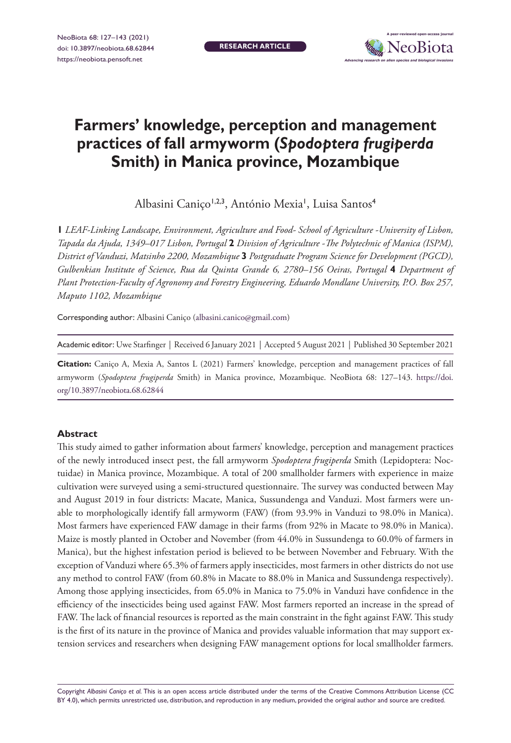**RESEARCH ARTICLE**



# **Farmers' knowledge, perception and management practices of fall armyworm (***Spodoptera frugiperda* **Smith) in Manica province, Mozambique**

Albasini Caniço<sup>1,2,3</sup>, António Mexia<sup>1</sup>, Luisa Santos<sup>4</sup>

**1** *LEAF-Linking Landscape, Environment, Agriculture and Food- School of Agriculture -University of Lisbon, Tapada da Ajuda, 1349–017 Lisbon, Portugal* **2** *Division of Agriculture -The Polytechnic of Manica (ISPM), District of Vanduzi, Matsinho 2200, Mozambique* **3** *Postgraduate Program Science for Development (PGCD), Gulbenkian Institute of Science, Rua da Quinta Grande 6, 2780–156 Oeiras, Portugal* **4** *Department of Plant Protection-Faculty of Agronomy and Forestry Engineering, Eduardo Mondlane University, P.O. Box 257, Maputo 1102, Mozambique*

Corresponding author: Albasini Caniço [\(albasini.canico@gmail.com\)](mailto:albasini.canico@gmail.com)

Academic editor: Uwe Starfinger | Received 6 January 2021 | Accepted 5 August 2021 | Published 30 September 2021

**Citation:** Caniço A, Mexia A, Santos L (2021) Farmers' knowledge, perception and management practices of fall armyworm (*Spodoptera frugiperda* Smith) in Manica province, Mozambique. NeoBiota 68: 127–143. [https://doi.](https://doi.org/10.3897/neobiota.68.62844) [org/10.3897/neobiota.68.62844](https://doi.org/10.3897/neobiota.68.62844)

#### **Abstract**

This study aimed to gather information about farmers' knowledge, perception and management practices of the newly introduced insect pest, the fall armyworm *Spodoptera frugiperda* Smith (Lepidoptera: Noctuidae) in Manica province, Mozambique. A total of 200 smallholder farmers with experience in maize cultivation were surveyed using a semi-structured questionnaire. The survey was conducted between May and August 2019 in four districts: Macate, Manica, Sussundenga and Vanduzi. Most farmers were unable to morphologically identify fall armyworm (FAW) (from 93.9% in Vanduzi to 98.0% in Manica). Most farmers have experienced FAW damage in their farms (from 92% in Macate to 98.0% in Manica). Maize is mostly planted in October and November (from 44.0% in Sussundenga to 60.0% of farmers in Manica), but the highest infestation period is believed to be between November and February. With the exception of Vanduzi where 65.3% of farmers apply insecticides, most farmers in other districts do not use any method to control FAW (from 60.8% in Macate to 88.0% in Manica and Sussundenga respectively). Among those applying insecticides, from 65.0% in Manica to 75.0% in Vanduzi have confidence in the efficiency of the insecticides being used against FAW. Most farmers reported an increase in the spread of FAW. The lack of financial resources is reported as the main constraint in the fight against FAW. This study is the first of its nature in the province of Manica and provides valuable information that may support extension services and researchers when designing FAW management options for local smallholder farmers.

Copyright *Albasini Caniço et al.* This is an open access article distributed under the terms of the [Creative Commons Attribution License \(CC](http://creativecommons.org/licenses/by/4.0/)  [BY 4.0\)](http://creativecommons.org/licenses/by/4.0/), which permits unrestricted use, distribution, and reproduction in any medium, provided the original author and source are credited.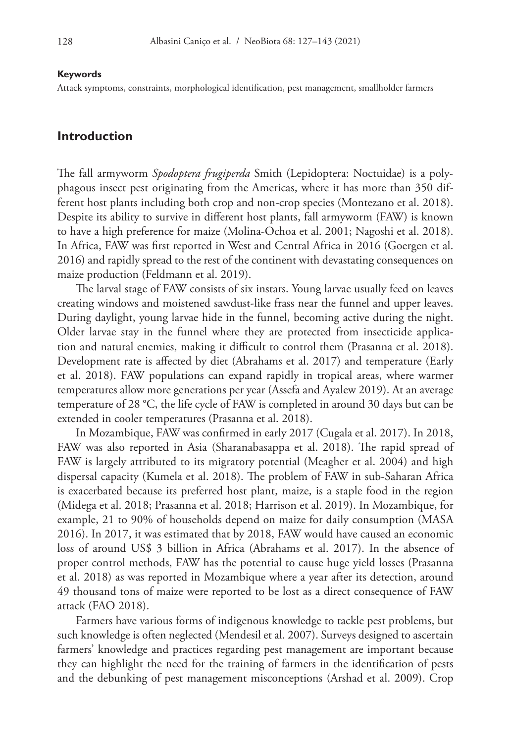#### **Keywords**

Attack symptoms, constraints, morphological identification, pest management, smallholder farmers

#### **Introduction**

The fall armyworm *Spodoptera frugiperda* Smith (Lepidoptera: Noctuidae) is a polyphagous insect pest originating from the Americas, where it has more than 350 different host plants including both crop and non-crop species (Montezano et al. 2018). Despite its ability to survive in different host plants, fall armyworm (FAW) is known to have a high preference for maize (Molina-Ochoa et al. 2001; Nagoshi et al. 2018). In Africa, FAW was first reported in West and Central Africa in 2016 (Goergen et al. 2016) and rapidly spread to the rest of the continent with devastating consequences on maize production (Feldmann et al. 2019).

The larval stage of FAW consists of six instars. Young larvae usually feed on leaves creating windows and moistened sawdust-like frass near the funnel and upper leaves. During daylight, young larvae hide in the funnel, becoming active during the night. Older larvae stay in the funnel where they are protected from insecticide application and natural enemies, making it difficult to control them (Prasanna et al. 2018). Development rate is affected by diet (Abrahams et al. 2017) and temperature (Early et al. 2018). FAW populations can expand rapidly in tropical areas, where warmer temperatures allow more generations per year (Assefa and Ayalew 2019). At an average temperature of 28 °C, the life cycle of FAW is completed in around 30 days but can be extended in cooler temperatures (Prasanna et al. 2018).

In Mozambique, FAW was confirmed in early 2017 (Cugala et al. 2017). In 2018, FAW was also reported in Asia (Sharanabasappa et al. 2018). The rapid spread of FAW is largely attributed to its migratory potential (Meagher et al. 2004) and high dispersal capacity (Kumela et al. 2018). The problem of FAW in sub-Saharan Africa is exacerbated because its preferred host plant, maize, is a staple food in the region (Midega et al. 2018; Prasanna et al. 2018; Harrison et al. 2019). In Mozambique, for example, 21 to 90% of households depend on maize for daily consumption (MASA 2016). In 2017, it was estimated that by 2018, FAW would have caused an economic loss of around US\$ 3 billion in Africa (Abrahams et al. 2017). In the absence of proper control methods, FAW has the potential to cause huge yield losses (Prasanna et al. 2018) as was reported in Mozambique where a year after its detection, around 49 thousand tons of maize were reported to be lost as a direct consequence of FAW attack (FAO 2018).

Farmers have various forms of indigenous knowledge to tackle pest problems, but such knowledge is often neglected (Mendesil et al. 2007). Surveys designed to ascertain farmers' knowledge and practices regarding pest management are important because they can highlight the need for the training of farmers in the identification of pests and the debunking of pest management misconceptions (Arshad et al. 2009). Crop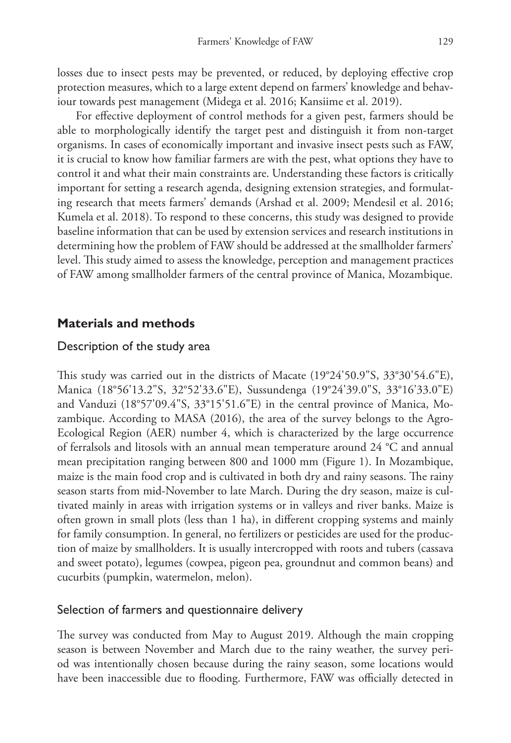losses due to insect pests may be prevented, or reduced, by deploying effective crop protection measures, which to a large extent depend on farmers' knowledge and behaviour towards pest management (Midega et al. 2016; Kansiime et al. 2019).

For effective deployment of control methods for a given pest, farmers should be able to morphologically identify the target pest and distinguish it from non-target organisms. In cases of economically important and invasive insect pests such as FAW, it is crucial to know how familiar farmers are with the pest, what options they have to control it and what their main constraints are. Understanding these factors is critically important for setting a research agenda, designing extension strategies, and formulating research that meets farmers' demands (Arshad et al. 2009; Mendesil et al. 2016; Kumela et al. 2018). To respond to these concerns, this study was designed to provide baseline information that can be used by extension services and research institutions in determining how the problem of FAW should be addressed at the smallholder farmers' level. This study aimed to assess the knowledge, perception and management practices of FAW among smallholder farmers of the central province of Manica, Mozambique.

### **Materials and methods**

#### Description of the study area

This study was carried out in the districts of Macate (19°24'50.9"S, 33°30'54.6"E), Manica (18°56'13.2"S, 32°52'33.6"E), Sussundenga (19°24'39.0"S, 33°16'33.0"E) and Vanduzi (18°57'09.4"S, 33°15'51.6"E) in the central province of Manica, Mozambique. According to MASA (2016), the area of the survey belongs to the Agro-Ecological Region (AER) number 4, which is characterized by the large occurrence of ferralsols and litosols with an annual mean temperature around 24 °C and annual mean precipitation ranging between 800 and 1000 mm (Figure 1). In Mozambique, maize is the main food crop and is cultivated in both dry and rainy seasons. The rainy season starts from mid-November to late March. During the dry season, maize is cultivated mainly in areas with irrigation systems or in valleys and river banks. Maize is often grown in small plots (less than 1 ha), in different cropping systems and mainly for family consumption. In general, no fertilizers or pesticides are used for the production of maize by smallholders. It is usually intercropped with roots and tubers (cassava and sweet potato), legumes (cowpea, pigeon pea, groundnut and common beans) and cucurbits (pumpkin, watermelon, melon).

#### Selection of farmers and questionnaire delivery

The survey was conducted from May to August 2019. Although the main cropping season is between November and March due to the rainy weather, the survey period was intentionally chosen because during the rainy season, some locations would have been inaccessible due to flooding. Furthermore, FAW was officially detected in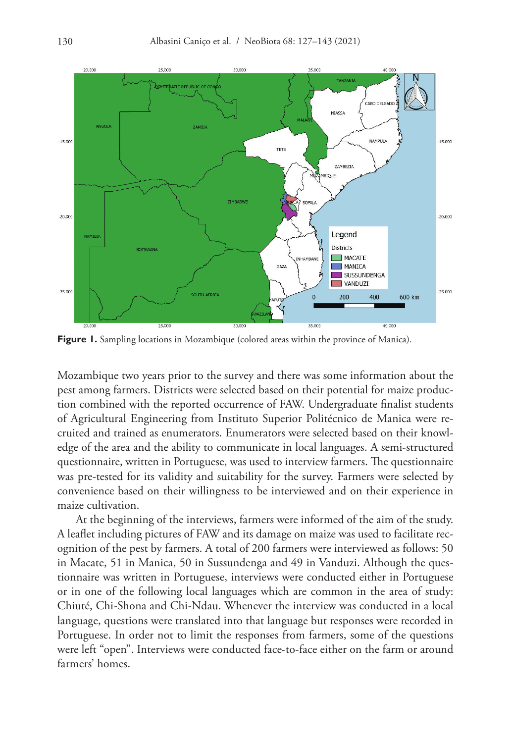

**Figure 1.** Sampling locations in Mozambique (colored areas within the province of Manica).

Mozambique two years prior to the survey and there was some information about the pest among farmers. Districts were selected based on their potential for maize production combined with the reported occurrence of FAW. Undergraduate finalist students of Agricultural Engineering from Instituto Superior Politécnico de Manica were recruited and trained as enumerators. Enumerators were selected based on their knowledge of the area and the ability to communicate in local languages. A semi-structured questionnaire, written in Portuguese, was used to interview farmers. The questionnaire was pre-tested for its validity and suitability for the survey. Farmers were selected by convenience based on their willingness to be interviewed and on their experience in maize cultivation.

At the beginning of the interviews, farmers were informed of the aim of the study. A leaflet including pictures of FAW and its damage on maize was used to facilitate recognition of the pest by farmers. A total of 200 farmers were interviewed as follows: 50 in Macate, 51 in Manica, 50 in Sussundenga and 49 in Vanduzi. Although the questionnaire was written in Portuguese, interviews were conducted either in Portuguese or in one of the following local languages which are common in the area of study: Chiuté, Chi-Shona and Chi-Ndau. Whenever the interview was conducted in a local language, questions were translated into that language but responses were recorded in Portuguese. In order not to limit the responses from farmers, some of the questions were left "open". Interviews were conducted face-to-face either on the farm or around farmers' homes.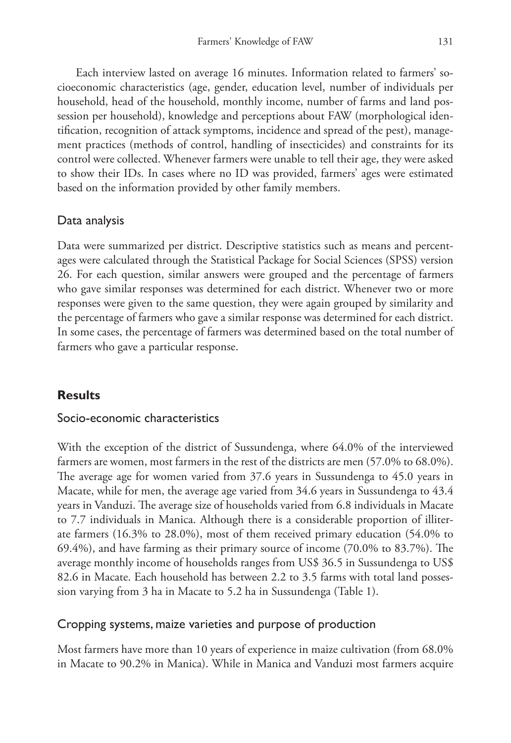Each interview lasted on average 16 minutes. Information related to farmers' socioeconomic characteristics (age, gender, education level, number of individuals per household, head of the household, monthly income, number of farms and land possession per household), knowledge and perceptions about FAW (morphological identification, recognition of attack symptoms, incidence and spread of the pest), management practices (methods of control, handling of insecticides) and constraints for its control were collected. Whenever farmers were unable to tell their age, they were asked to show their IDs. In cases where no ID was provided, farmers' ages were estimated based on the information provided by other family members.

## Data analysis

Data were summarized per district. Descriptive statistics such as means and percentages were calculated through the Statistical Package for Social Sciences (SPSS) version 26. For each question, similar answers were grouped and the percentage of farmers who gave similar responses was determined for each district. Whenever two or more responses were given to the same question, they were again grouped by similarity and the percentage of farmers who gave a similar response was determined for each district. In some cases, the percentage of farmers was determined based on the total number of farmers who gave a particular response.

## **Results**

#### Socio-economic characteristics

With the exception of the district of Sussundenga, where 64.0% of the interviewed farmers are women, most farmers in the rest of the districts are men (57.0% to 68.0%). The average age for women varied from 37.6 years in Sussundenga to 45.0 years in Macate, while for men, the average age varied from 34.6 years in Sussundenga to 43.4 years in Vanduzi. The average size of households varied from 6.8 individuals in Macate to 7.7 individuals in Manica. Although there is a considerable proportion of illiterate farmers (16.3% to 28.0%), most of them received primary education (54.0% to 69.4%), and have farming as their primary source of income (70.0% to 83.7%). The average monthly income of households ranges from US\$ 36.5 in Sussundenga to US\$ 82.6 in Macate. Each household has between 2.2 to 3.5 farms with total land possession varying from 3 ha in Macate to 5.2 ha in Sussundenga (Table 1).

#### Cropping systems, maize varieties and purpose of production

Most farmers have more than 10 years of experience in maize cultivation (from 68.0% in Macate to 90.2% in Manica). While in Manica and Vanduzi most farmers acquire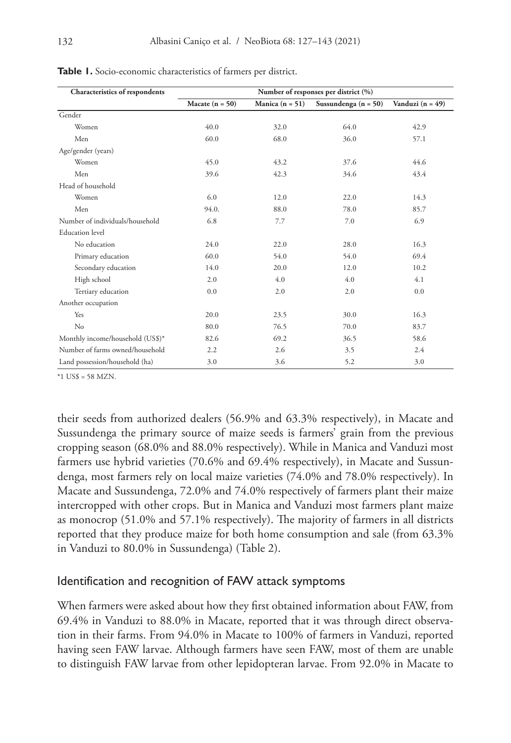| Characteristics of respondents   | Number of responses per district (%) |                   |                          |                     |  |
|----------------------------------|--------------------------------------|-------------------|--------------------------|---------------------|--|
|                                  | Macate $(n = 50)$                    | Manica $(n = 51)$ | Sussundenga ( $n = 50$ ) | Vanduzi (n = $49$ ) |  |
| Gender                           |                                      |                   |                          |                     |  |
| Women                            | 40.0                                 | 32.0              | 64.0                     | 42.9                |  |
| Men                              | 60.0                                 | 68.0              | 36.0                     | 57.1                |  |
| Age/gender (years)               |                                      |                   |                          |                     |  |
| Women                            | 45.0                                 | 43.2              | 37.6                     | 44.6                |  |
| Men                              | 39.6                                 | 42.3              | 34.6                     | 43.4                |  |
| Head of household                |                                      |                   |                          |                     |  |
| Women                            | 6.0                                  | 12.0              | 22.0                     | 14.3                |  |
| Men                              | 94.0.                                | 88.0              | 78.0                     | 85.7                |  |
| Number of individuals/household  | 6.8                                  | 7.7               | 7.0                      | 6.9                 |  |
| Education level                  |                                      |                   |                          |                     |  |
| No education                     | 24.0                                 | 22.0              | 28.0                     | 16.3                |  |
| Primary education                | 60.0                                 | 54.0              | 54.0                     | 69.4                |  |
| Secondary education              | 14.0                                 | 20.0              | 12.0                     | 10.2                |  |
| High school                      | 2.0                                  | 4.0               | 4.0                      | 4.1                 |  |
| Tertiary education               | 0.0                                  | 2.0               | 2.0                      | 0.0                 |  |
| Another occupation               |                                      |                   |                          |                     |  |
| Yes                              | 20.0                                 | 23.5              | 30.0                     | 16.3                |  |
| No                               | 80.0                                 | 76.5              | 70.0                     | 83.7                |  |
| Monthly income/household (US\$)* | 82.6                                 | 69.2              | 36.5                     | 58.6                |  |
| Number of farms owned/household  | 2.2                                  | 2.6               | 3.5                      | 2.4                 |  |
| Land possession/household (ha)   | 3.0                                  | 3.6               | 5.2                      | 3.0                 |  |

**Table 1.** Socio-economic characteristics of farmers per district.

\*1 US\$ = 58 MZN.

their seeds from authorized dealers (56.9% and 63.3% respectively), in Macate and Sussundenga the primary source of maize seeds is farmers' grain from the previous cropping season (68.0% and 88.0% respectively). While in Manica and Vanduzi most farmers use hybrid varieties (70.6% and 69.4% respectively), in Macate and Sussundenga, most farmers rely on local maize varieties (74.0% and 78.0% respectively). In Macate and Sussundenga, 72.0% and 74.0% respectively of farmers plant their maize intercropped with other crops. But in Manica and Vanduzi most farmers plant maize as monocrop (51.0% and 57.1% respectively). The majority of farmers in all districts reported that they produce maize for both home consumption and sale (from 63.3% in Vanduzi to 80.0% in Sussundenga) (Table 2).

#### Identification and recognition of FAW attack symptoms

When farmers were asked about how they first obtained information about FAW, from 69.4% in Vanduzi to 88.0% in Macate, reported that it was through direct observation in their farms. From 94.0% in Macate to 100% of farmers in Vanduzi, reported having seen FAW larvae. Although farmers have seen FAW, most of them are unable to distinguish FAW larvae from other lepidopteran larvae. From 92.0% in Macate to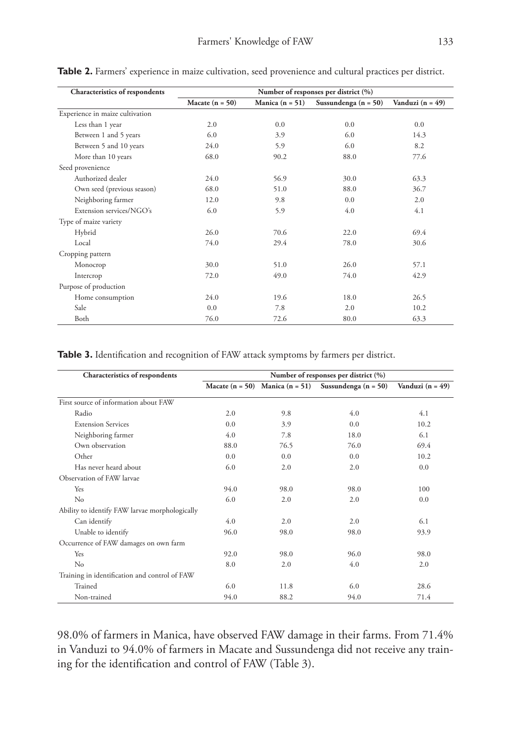| Characteristics of respondents  | Number of responses per district (%) |                   |                          |                  |
|---------------------------------|--------------------------------------|-------------------|--------------------------|------------------|
|                                 | Macate $(n = 50)$                    | Manica $(n = 51)$ | Sussundenga ( $n = 50$ ) | Vanduzi (n = 49) |
| Experience in maize cultivation |                                      |                   |                          |                  |
| Less than 1 year                | 2.0                                  | 0.0               | 0.0                      | 0.0              |
| Between 1 and 5 years           | 6.0                                  | 3.9               | 6.0                      | 14.3             |
| Between 5 and 10 years          | 24.0                                 | 5.9               | 6.0                      | 8.2              |
| More than 10 years              | 68.0                                 | 90.2              | 88.0                     | 77.6             |
| Seed provenience                |                                      |                   |                          |                  |
| Authorized dealer               | 24.0                                 | 56.9              | 30.0                     | 63.3             |
| Own seed (previous season)      | 68.0                                 | 51.0              | 88.0                     | 36.7             |
| Neighboring farmer              | 12.0                                 | 9.8               | 0.0                      | 2.0              |
| Extension services/NGO's        | 6.0                                  | 5.9               | 4.0                      | 4.1              |
| Type of maize variety           |                                      |                   |                          |                  |
| Hybrid                          | 26.0                                 | 70.6              | 22.0                     | 69.4             |
| Local                           | 74.0                                 | 29.4              | 78.0                     | 30.6             |
| Cropping pattern                |                                      |                   |                          |                  |
| Monocrop                        | 30.0                                 | 51.0              | 26.0                     | 57.1             |
| Intercrop                       | 72.0                                 | 49.0              | 74.0                     | 42.9             |
| Purpose of production           |                                      |                   |                          |                  |
| Home consumption                | 24.0                                 | 19.6              | 18.0                     | 26.5             |
| Sale                            | 0.0                                  | 7.8               | 2.0                      | 10.2             |
| Both                            | 76.0                                 | 72.6              | 80.0                     | 63.3             |

Table 2. Farmers' experience in maize cultivation, seed provenience and cultural practices per district.

**Table 3.** Identification and recognition of FAW attack symptoms by farmers per district.

| Characteristics of respondents                 | Number of responses per district (%) |                   |                          |                     |  |
|------------------------------------------------|--------------------------------------|-------------------|--------------------------|---------------------|--|
|                                                | Macate $(n = 50)$                    | Manica $(n = 51)$ | Sussundenga ( $n = 50$ ) | Vanduzi (n = $49$ ) |  |
| First source of information about FAW          |                                      |                   |                          |                     |  |
| Radio                                          | 2.0                                  | 9.8               | 4.0                      | 4.1                 |  |
| <b>Extension Services</b>                      | 0.0                                  | 3.9               | 0.0                      | 10.2                |  |
| Neighboring farmer                             | 4.0                                  | 7.8               | 18.0                     | 6.1                 |  |
| Own observation                                | 88.0                                 | 76.5              | 76.0                     | 69.4                |  |
| Other                                          | 0.0                                  | 0.0               | 0.0                      | 10.2                |  |
| Has never heard about                          | 6.0                                  | 2.0               | 2.0                      | 0.0                 |  |
| Observation of FAW larvae                      |                                      |                   |                          |                     |  |
| Yes                                            | 94.0                                 | 98.0              | 98.0                     | 100                 |  |
| No                                             | 6.0                                  | 2.0               | 2.0                      | 0.0                 |  |
| Ability to identify FAW larvae morphologically |                                      |                   |                          |                     |  |
| Can identify                                   | 4.0                                  | 2.0               | 2.0                      | 6.1                 |  |
| Unable to identify                             | 96.0                                 | 98.0              | 98.0                     | 93.9                |  |
| Occurrence of FAW damages on own farm          |                                      |                   |                          |                     |  |
| Yes                                            | 92.0                                 | 98.0              | 96.0                     | 98.0                |  |
| No                                             | 8.0                                  | 2.0               | 4.0                      | 2.0                 |  |
| Training in identification and control of FAW  |                                      |                   |                          |                     |  |
| Trained                                        | 6.0                                  | 11.8              | 6.0                      | 28.6                |  |
| Non-trained                                    | 94.0                                 | 88.2              | 94.0                     | 71.4                |  |

98.0% of farmers in Manica, have observed FAW damage in their farms. From 71.4% in Vanduzi to 94.0% of farmers in Macate and Sussundenga did not receive any training for the identification and control of FAW (Table 3).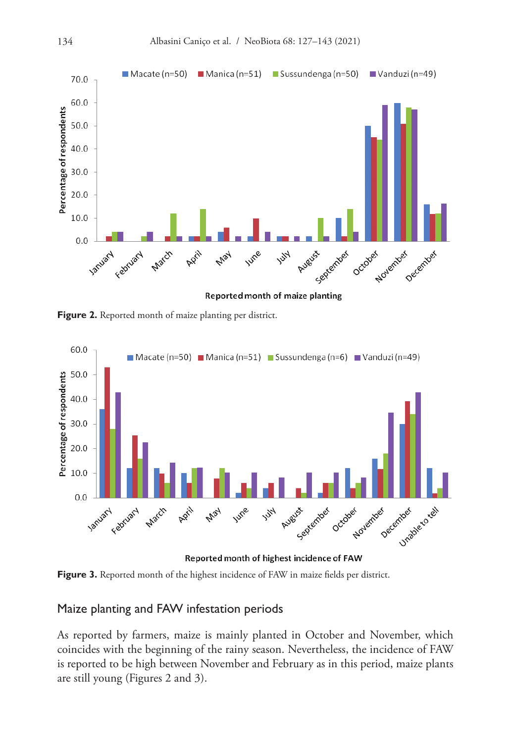

Reported month of maize planting

**Figure 2.** Reported month of maize planting per district.



Reported month of highest incidence of FAW

Figure 3. Reported month of the highest incidence of FAW in maize fields per district.

#### Maize planting and FAW infestation periods

As reported by farmers, maize is mainly planted in October and November, which coincides with the beginning of the rainy season. Nevertheless, the incidence of FAW is reported to be high between November and February as in this period, maize plants are still young (Figures 2 and 3).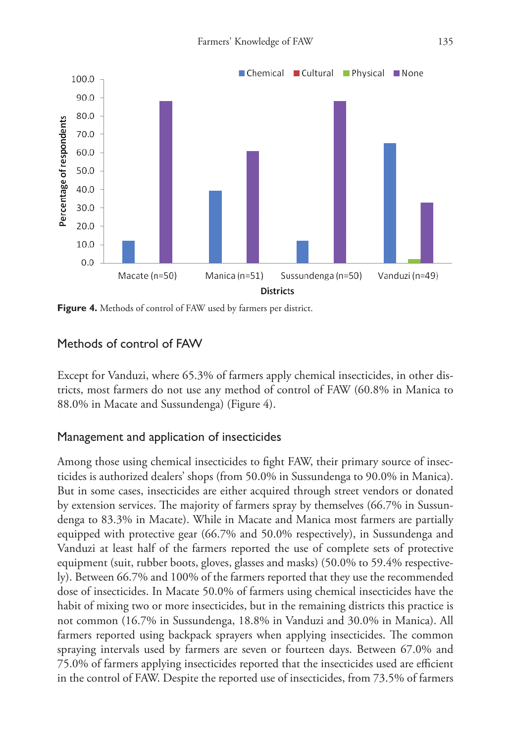

**Figure 4.** Methods of control of FAW used by farmers per district.

### Methods of control of FAW

Except for Vanduzi, where 65.3% of farmers apply chemical insecticides, in other districts, most farmers do not use any method of control of FAW (60.8% in Manica to 88.0% in Macate and Sussundenga) (Figure 4).

#### Management and application of insecticides

Among those using chemical insecticides to fight FAW, their primary source of insecticides is authorized dealers' shops (from 50.0% in Sussundenga to 90.0% in Manica). But in some cases, insecticides are either acquired through street vendors or donated by extension services. The majority of farmers spray by themselves (66.7% in Sussundenga to 83.3% in Macate). While in Macate and Manica most farmers are partially equipped with protective gear (66.7% and 50.0% respectively), in Sussundenga and Vanduzi at least half of the farmers reported the use of complete sets of protective equipment (suit, rubber boots, gloves, glasses and masks) (50.0% to 59.4% respectively). Between 66.7% and 100% of the farmers reported that they use the recommended dose of insecticides. In Macate 50.0% of farmers using chemical insecticides have the habit of mixing two or more insecticides, but in the remaining districts this practice is not common (16.7% in Sussundenga, 18.8% in Vanduzi and 30.0% in Manica). All farmers reported using backpack sprayers when applying insecticides. The common spraying intervals used by farmers are seven or fourteen days. Between 67.0% and 75.0% of farmers applying insecticides reported that the insecticides used are efficient in the control of FAW. Despite the reported use of insecticides, from 73.5% of farmers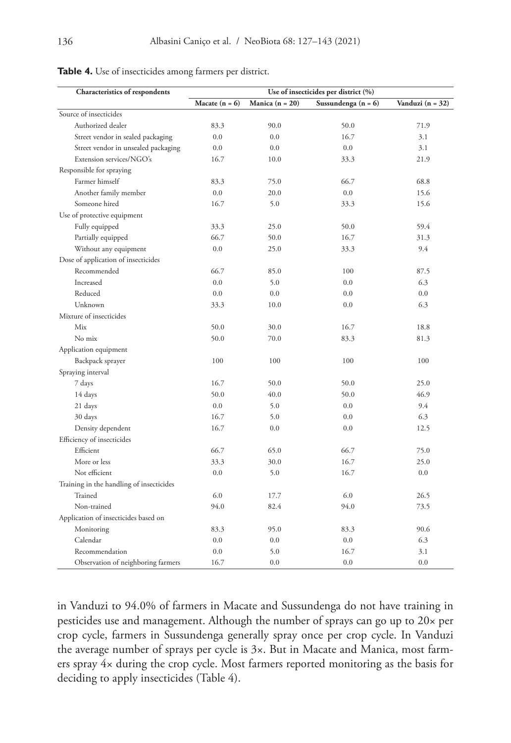| Characteristics of respondents           | Use of insecticides per district (%) |                   |                       |                  |  |
|------------------------------------------|--------------------------------------|-------------------|-----------------------|------------------|--|
|                                          | Macate $(n = 6)$                     | Manica $(n = 20)$ | Sussundenga $(n = 6)$ | Vanduzi (n = 32) |  |
| Source of insecticides                   |                                      |                   |                       |                  |  |
| Authorized dealer                        | 83.3                                 | 90.0              | 50.0                  | 71.9             |  |
| Street vendor in sealed packaging        | 0.0                                  | 0.0               | 16.7                  | 3.1              |  |
| Street vendor in unsealed packaging      | 0.0                                  | 0.0               | 0.0                   | 3.1              |  |
| Extension services/NGO's                 | 16.7                                 | 10.0              | 33.3                  | 21.9             |  |
| Responsible for spraying                 |                                      |                   |                       |                  |  |
| Farmer himself                           | 83.3                                 | 75.0              | 66.7                  | 68.8             |  |
| Another family member                    | 0.0                                  | 20.0              | 0.0                   | 15.6             |  |
| Someone hired                            | 16.7                                 | 5.0               | 33.3                  | 15.6             |  |
| Use of protective equipment              |                                      |                   |                       |                  |  |
| Fully equipped                           | 33.3                                 | 25.0              | 50.0                  | 59.4             |  |
| Partially equipped                       | 66.7                                 | 50.0              | 16.7                  | 31.3             |  |
| Without any equipment                    | 0.0                                  | 25.0              | 33.3                  | 9.4              |  |
| Dose of application of insecticides      |                                      |                   |                       |                  |  |
| Recommended                              | 66.7                                 | 85.0              | 100                   | 87.5             |  |
| Increased                                | 0.0                                  | 5.0               | 0.0                   | 6.3              |  |
| Reduced                                  | 0.0                                  | 0.0               | 0.0                   | 0.0              |  |
| Unknown                                  | 33.3                                 | 10.0              | 0.0                   | 6.3              |  |
| Mixture of insecticides                  |                                      |                   |                       |                  |  |
| Mix                                      | 50.0                                 | 30.0              | 16.7                  | 18.8             |  |
| No mix                                   | 50.0                                 | 70.0              | 83.3                  | 81.3             |  |
| Application equipment                    |                                      |                   |                       |                  |  |
| Backpack sprayer                         | 100                                  | 100               | 100                   | 100              |  |
| Spraying interval                        |                                      |                   |                       |                  |  |
| 7 days                                   | 16.7                                 | 50.0              | 50.0                  | 25.0             |  |
| 14 days                                  | 50.0                                 | 40.0              | 50.0                  | 46.9             |  |
| 21 days                                  | 0.0                                  | 5.0               | 0.0                   | 9.4              |  |
| 30 days                                  | 16.7                                 | 5.0               | 0.0                   | 6.3              |  |
| Density dependent                        | 16.7                                 | 0.0               | 0.0                   | 12.5             |  |
| Efficiency of insecticides               |                                      |                   |                       |                  |  |
| Efficient                                | 66.7                                 | 65.0              | 66.7                  | 75.0             |  |
| More or less                             | 33.3                                 | 30.0              | 16.7                  | 25.0             |  |
| Not efficient                            | 0.0                                  | 5.0               | 16.7                  | 0.0              |  |
| Training in the handling of insecticides |                                      |                   |                       |                  |  |
| Trained                                  | 6.0                                  | 17.7              | 6.0                   | 26.5             |  |
| Non-trained                              | 94.0                                 | 82.4              | 94.0                  | 73.5             |  |
| Application of insecticides based on     |                                      |                   |                       |                  |  |
| Monitoring                               | 83.3                                 | 95.0              | 83.3                  | 90.6             |  |
| Calendar                                 | 0.0                                  | 0.0               | 0.0                   | 6.3              |  |
| Recommendation                           | 0.0                                  | 5.0               | 16.7                  | 3.1              |  |
| Observation of neighboring farmers       | 16.7                                 | 0.0               | 0.0                   | 0.0              |  |

**Table 4.** Use of insecticides among farmers per district.

in Vanduzi to 94.0% of farmers in Macate and Sussundenga do not have training in pesticides use and management. Although the number of sprays can go up to 20× per crop cycle, farmers in Sussundenga generally spray once per crop cycle. In Vanduzi the average number of sprays per cycle is 3×. But in Macate and Manica, most farmers spray 4× during the crop cycle. Most farmers reported monitoring as the basis for deciding to apply insecticides (Table 4).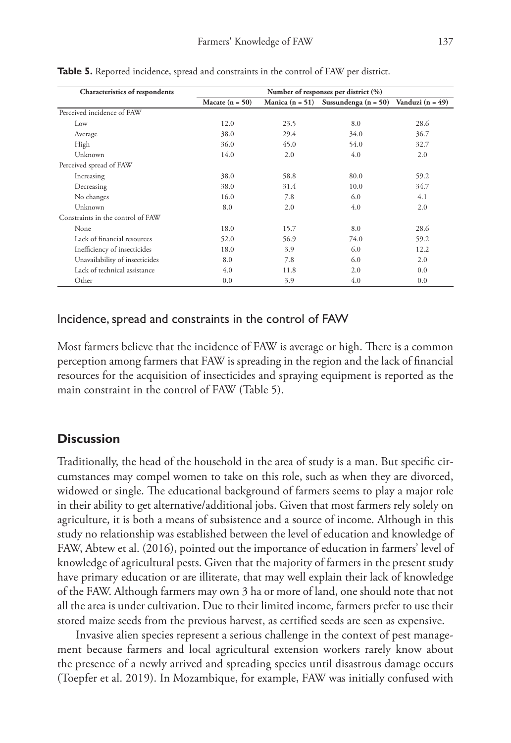| Characteristics of respondents    | Number of responses per district (%) |                   |                          |                     |
|-----------------------------------|--------------------------------------|-------------------|--------------------------|---------------------|
|                                   | Macate $(n = 50)$                    | Manica $(n = 51)$ | Sussundenga ( $n = 50$ ) | Vanduzi (n = $49$ ) |
| Perceived incidence of FAW        |                                      |                   |                          |                     |
| Low                               | 12.0                                 | 23.5              | 8.0                      | 28.6                |
| Average                           | 38.0                                 | 29.4              | 34.0                     | 36.7                |
| High                              | 36.0                                 | 45.0              | 54.0                     | 32.7                |
| Unknown                           | 14.0                                 | 2.0               | 4.0                      | 2.0                 |
| Perceived spread of FAW           |                                      |                   |                          |                     |
| Increasing                        | 38.0                                 | 58.8              | 80.0                     | 59.2                |
| Decreasing                        | 38.0                                 | 31.4              | 10.0                     | 34.7                |
| No changes                        | 16.0                                 | 7.8               | 6.0                      | 4.1                 |
| Unknown                           | 8.0                                  | 2.0               | 4.0                      | 2.0                 |
| Constraints in the control of FAW |                                      |                   |                          |                     |
| None                              | 18.0                                 | 15.7              | 8.0                      | 28.6                |
| Lack of financial resources       | 52.0                                 | 56.9              | 74.0                     | 59.2                |
| Inefficiency of insecticides      | 18.0                                 | 3.9               | 6.0                      | 12.2                |
| Unavailability of insecticides    | 8.0                                  | 7.8               | 6.0                      | 2.0                 |
| Lack of technical assistance      | 4.0                                  | 11.8              | 2.0                      | 0.0                 |
| Other                             | 0.0                                  | 3.9               | 4.0                      | 0.0                 |

Table 5. Reported incidence, spread and constraints in the control of FAW per district.

#### Incidence, spread and constraints in the control of FAW

Most farmers believe that the incidence of FAW is average or high. There is a common perception among farmers that FAW is spreading in the region and the lack of financial resources for the acquisition of insecticides and spraying equipment is reported as the main constraint in the control of FAW (Table 5).

## **Discussion**

Traditionally, the head of the household in the area of study is a man. But specific circumstances may compel women to take on this role, such as when they are divorced, widowed or single. The educational background of farmers seems to play a major role in their ability to get alternative/additional jobs. Given that most farmers rely solely on agriculture, it is both a means of subsistence and a source of income. Although in this study no relationship was established between the level of education and knowledge of FAW, Abtew et al. (2016), pointed out the importance of education in farmers' level of knowledge of agricultural pests. Given that the majority of farmers in the present study have primary education or are illiterate, that may well explain their lack of knowledge of the FAW. Although farmers may own 3 ha or more of land, one should note that not all the area is under cultivation. Due to their limited income, farmers prefer to use their stored maize seeds from the previous harvest, as certified seeds are seen as expensive.

Invasive alien species represent a serious challenge in the context of pest management because farmers and local agricultural extension workers rarely know about the presence of a newly arrived and spreading species until disastrous damage occurs (Toepfer et al. 2019). In Mozambique, for example, FAW was initially confused with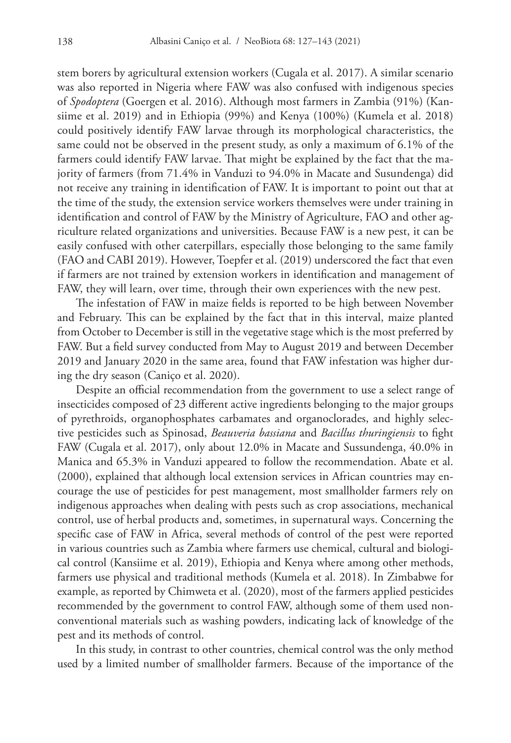stem borers by agricultural extension workers (Cugala et al. 2017). A similar scenario was also reported in Nigeria where FAW was also confused with indigenous species of *Spodoptera* (Goergen et al. 2016). Although most farmers in Zambia (91%) (Kansiime et al. 2019) and in Ethiopia (99%) and Kenya (100%) (Kumela et al. 2018) could positively identify FAW larvae through its morphological characteristics, the same could not be observed in the present study, as only a maximum of 6.1% of the farmers could identify FAW larvae. That might be explained by the fact that the majority of farmers (from 71.4% in Vanduzi to 94.0% in Macate and Susundenga) did not receive any training in identification of FAW. It is important to point out that at the time of the study, the extension service workers themselves were under training in identification and control of FAW by the Ministry of Agriculture, FAO and other agriculture related organizations and universities. Because FAW is a new pest, it can be easily confused with other caterpillars, especially those belonging to the same family (FAO and CABI 2019). However, Toepfer et al. (2019) underscored the fact that even if farmers are not trained by extension workers in identification and management of FAW, they will learn, over time, through their own experiences with the new pest.

The infestation of FAW in maize fields is reported to be high between November and February. This can be explained by the fact that in this interval, maize planted from October to December is still in the vegetative stage which is the most preferred by FAW. But a field survey conducted from May to August 2019 and between December 2019 and January 2020 in the same area, found that FAW infestation was higher during the dry season (Caniço et al. 2020).

Despite an official recommendation from the government to use a select range of insecticides composed of 23 different active ingredients belonging to the major groups of pyrethroids, organophosphates carbamates and organoclorades, and highly selective pesticides such as Spinosad, *Beauveria bassiana* and *Bacillus thuringiensis* to fight FAW (Cugala et al. 2017), only about 12.0% in Macate and Sussundenga, 40.0% in Manica and 65.3% in Vanduzi appeared to follow the recommendation. Abate et al. (2000), explained that although local extension services in African countries may encourage the use of pesticides for pest management, most smallholder farmers rely on indigenous approaches when dealing with pests such as crop associations, mechanical control, use of herbal products and, sometimes, in supernatural ways. Concerning the specific case of FAW in Africa, several methods of control of the pest were reported in various countries such as Zambia where farmers use chemical, cultural and biological control (Kansiime et al. 2019), Ethiopia and Kenya where among other methods, farmers use physical and traditional methods (Kumela et al. 2018). In Zimbabwe for example, as reported by Chimweta et al. (2020), most of the farmers applied pesticides recommended by the government to control FAW, although some of them used nonconventional materials such as washing powders, indicating lack of knowledge of the pest and its methods of control.

In this study, in contrast to other countries, chemical control was the only method used by a limited number of smallholder farmers. Because of the importance of the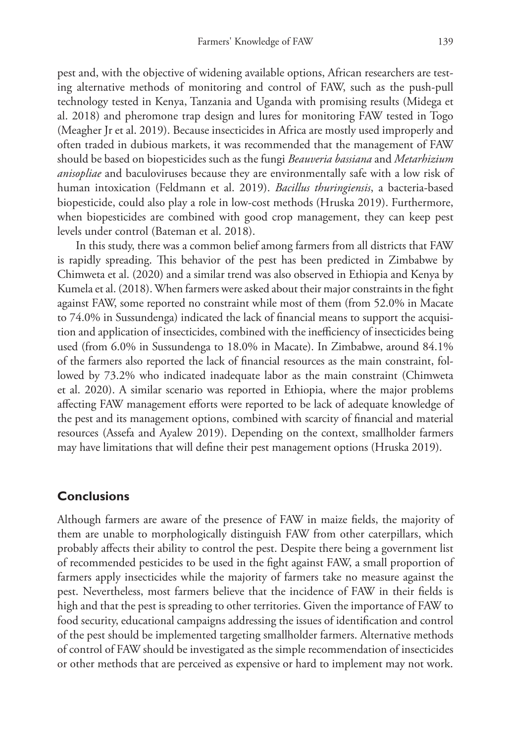pest and, with the objective of widening available options, African researchers are testing alternative methods of monitoring and control of FAW, such as the push-pull technology tested in Kenya, Tanzania and Uganda with promising results (Midega et al. 2018) and pheromone trap design and lures for monitoring FAW tested in Togo (Meagher Jr et al. 2019). Because insecticides in Africa are mostly used improperly and often traded in dubious markets, it was recommended that the management of FAW should be based on biopesticides such as the fungi *Beauveria bassiana* and *Metarhizium anisopliae* and baculoviruses because they are environmentally safe with a low risk of human intoxication (Feldmann et al. 2019). *Bacillus thuringiensis*, a bacteria-based biopesticide, could also play a role in low-cost methods (Hruska 2019). Furthermore, when biopesticides are combined with good crop management, they can keep pest levels under control (Bateman et al. 2018).

In this study, there was a common belief among farmers from all districts that FAW is rapidly spreading. This behavior of the pest has been predicted in Zimbabwe by Chimweta et al. (2020) and a similar trend was also observed in Ethiopia and Kenya by Kumela et al. (2018). When farmers were asked about their major constraints in the fight against FAW, some reported no constraint while most of them (from 52.0% in Macate to 74.0% in Sussundenga) indicated the lack of financial means to support the acquisition and application of insecticides, combined with the inefficiency of insecticides being used (from 6.0% in Sussundenga to 18.0% in Macate). In Zimbabwe, around 84.1% of the farmers also reported the lack of financial resources as the main constraint, followed by 73.2% who indicated inadequate labor as the main constraint (Chimweta et al. 2020). A similar scenario was reported in Ethiopia, where the major problems affecting FAW management efforts were reported to be lack of adequate knowledge of the pest and its management options, combined with scarcity of financial and material resources (Assefa and Ayalew 2019). Depending on the context, smallholder farmers may have limitations that will define their pest management options (Hruska 2019).

#### **Conclusions**

Although farmers are aware of the presence of FAW in maize fields, the majority of them are unable to morphologically distinguish FAW from other caterpillars, which probably affects their ability to control the pest. Despite there being a government list of recommended pesticides to be used in the fight against FAW, a small proportion of farmers apply insecticides while the majority of farmers take no measure against the pest. Nevertheless, most farmers believe that the incidence of FAW in their fields is high and that the pest is spreading to other territories. Given the importance of FAW to food security, educational campaigns addressing the issues of identification and control of the pest should be implemented targeting smallholder farmers. Alternative methods of control of FAW should be investigated as the simple recommendation of insecticides or other methods that are perceived as expensive or hard to implement may not work.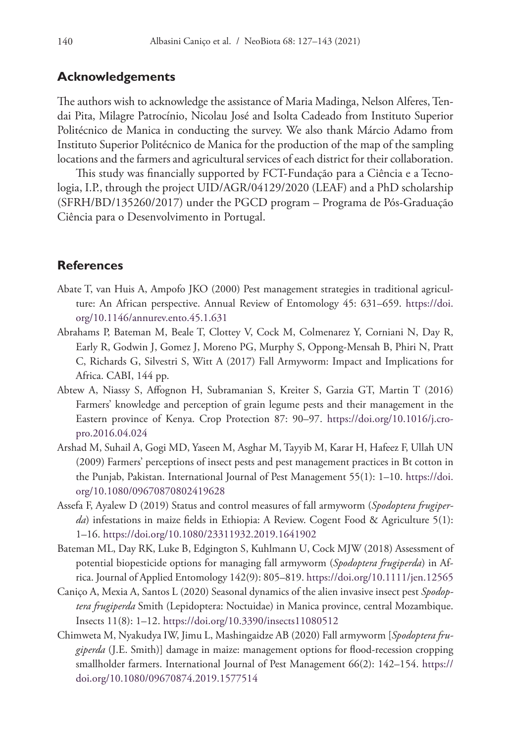#### **Acknowledgements**

The authors wish to acknowledge the assistance of Maria Madinga, Nelson Alferes, Tendai Pita, Milagre Patrocínio, Nicolau José and Isolta Cadeado from Instituto Superior Politécnico de Manica in conducting the survey. We also thank Márcio Adamo from Instituto Superior Politécnico de Manica for the production of the map of the sampling locations and the farmers and agricultural services of each district for their collaboration.

This study was financially supported by FCT-Fundação para a Ciência e a Tecnologia, I.P., through the project UID/AGR/04129/2020 (LEAF) and a PhD scholarship (SFRH/BD/135260/2017) under the PGCD program – Programa de Pós-Graduação Ciência para o Desenvolvimento in Portugal.

#### **References**

- Abate T, van Huis A, Ampofo JKO (2000) Pest management strategies in traditional agriculture: An African perspective. Annual Review of Entomology 45: 631–659. [https://doi.](https://doi.org/10.1146/annurev.ento.45.1.631) [org/10.1146/annurev.ento.45.1.631](https://doi.org/10.1146/annurev.ento.45.1.631)
- Abrahams P, Bateman M, Beale T, Clottey V, Cock M, Colmenarez Y, Corniani N, Day R, Early R, Godwin J, Gomez J, Moreno PG, Murphy S, Oppong-Mensah B, Phiri N, Pratt C, Richards G, Silvestri S, Witt A (2017) Fall Armyworm: Impact and Implications for Africa. CABI, 144 pp.
- Abtew A, Niassy S, Affognon H, Subramanian S, Kreiter S, Garzia GT, Martin T (2016) Farmers' knowledge and perception of grain legume pests and their management in the Eastern province of Kenya. Crop Protection 87: 90–97. [https://doi.org/10.1016/j.cro](https://doi.org/10.1016/j.cropro.2016.04.024)[pro.2016.04.024](https://doi.org/10.1016/j.cropro.2016.04.024)
- Arshad M, Suhail A, Gogi MD, Yaseen M, Asghar M, Tayyib M, Karar H, Hafeez F, Ullah UN (2009) Farmers' perceptions of insect pests and pest management practices in Bt cotton in the Punjab, Pakistan. International Journal of Pest Management 55(1): 1–10. [https://doi.](https://doi.org/10.1080/09670870802419628) [org/10.1080/09670870802419628](https://doi.org/10.1080/09670870802419628)
- Assefa F, Ayalew D (2019) Status and control measures of fall armyworm (*Spodoptera frugiperda*) infestations in maize fields in Ethiopia: A Review. Cogent Food & Agriculture 5(1): 1–16.<https://doi.org/10.1080/23311932.2019.1641902>
- Bateman ML, Day RK, Luke B, Edgington S, Kuhlmann U, Cock MJW (2018) Assessment of potential biopesticide options for managing fall armyworm (*Spodoptera frugiperda*) in Africa. Journal of Applied Entomology 142(9): 805–819.<https://doi.org/10.1111/jen.12565>
- Caniço A, Mexia A, Santos L (2020) Seasonal dynamics of the alien invasive insect pest *Spodoptera frugiperda* Smith (Lepidoptera: Noctuidae) in Manica province, central Mozambique. Insects 11(8): 1–12.<https://doi.org/10.3390/insects11080512>
- Chimweta M, Nyakudya IW, Jimu L, Mashingaidze AB (2020) Fall armyworm [*Spodoptera frugiperda* (J.E. Smith)] damage in maize: management options for flood-recession cropping smallholder farmers. International Journal of Pest Management 66(2): 142–154. [https://](https://doi.org/10.1080/09670874.2019.1577514) [doi.org/10.1080/09670874.2019.1577514](https://doi.org/10.1080/09670874.2019.1577514)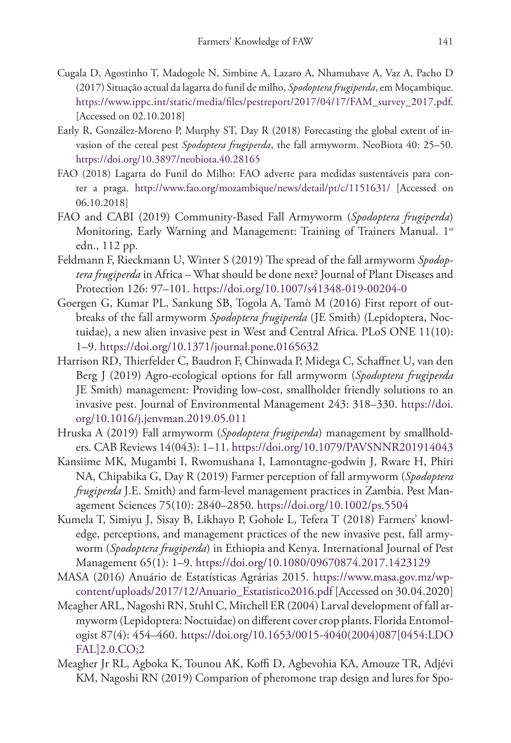- Cugala D, Agostinho T, Madogole N, Simbine A, Lazaro A, Nhamuhave A, Vaz A, Pacho D (2017) Situação actual da lagarta do funil de milho, *Spodoptera frugiperda*, em Moçambique. [https://www.ippc.int/static/media/files/pestreport/2017/04/17/FAM\\_survey\\_2017.pdf.](https://www.ippc.int/static/media/files/pestreport/2017/04/17/FAM_survey_2017.pdf) [Accessed on 02.10.2018]
- Early R, González-Moreno P, Murphy ST, Day R (2018) Forecasting the global extent of invasion of the cereal pest *Spodoptera frugiperda*, the fall armyworm. NeoBiota 40: 25–50. <https://doi.org/10.3897/neobiota.40.28165>
- FAO (2018) Lagarta do Funil do Milho: FAO adverte para medidas sustentáveis para conter a praga. <http://www.fao.org/mozambique/news/detail/pt/c/1151631/>[Accessed on 06.10.2018]
- FAO and CABI (2019) Community-Based Fall Armyworm (*Spodoptera frugiperda*) Monitoring, Early Warning and Management: Training of Trainers Manual. 1<sup>st</sup> edn., 112 pp.
- Feldmann F, Rieckmann U, Winter S (2019) The spread of the fall armyworm *Spodoptera frugiperda* in Africa – What should be done next? Journal of Plant Diseases and Protection 126: 97–101. <https://doi.org/10.1007/s41348-019-00204-0>
- Goergen G, Kumar PL, Sankung SB, Togola A, Tamò M (2016) First report of outbreaks of the fall armyworm *Spodoptera frugiperda* (JE Smith) (Lepidoptera, Noctuidae), a new alien invasive pest in West and Central Africa. PLoS ONE 11(10): 1–9.<https://doi.org/10.1371/journal.pone.0165632>
- Harrison RD, Thierfelder C, Baudron F, Chinwada P, Midega C, Schaffner U, van den Berg J (2019) Agro-ecological options for fall armyworm (*Spodoptera frugiperda* JE Smith) management: Providing low-cost, smallholder friendly solutions to an invasive pest. Journal of Environmental Management 243: 318–330. [https://doi.](https://doi.org/10.1016/j.jenvman.2019.05.011) [org/10.1016/j.jenvman.2019.05.011](https://doi.org/10.1016/j.jenvman.2019.05.011)
- Hruska A (2019) Fall armyworm (*Spodoptera frugiperda*) management by smallholders. CAB Reviews 14(043): 1–11.<https://doi.org/10.1079/PAVSNNR201914043>
- Kansiime MK, Mugambi I, Rwomushana I, Lamontagne-godwin J, Rware H, Phiri NA, Chipabika G, Day R (2019) Farmer perception of fall armyworm (*Spodoptera frugiperda* J.E. Smith) and farm-level management practices in Zambia. Pest Management Sciences 75(10): 2840–2850.<https://doi.org/10.1002/ps.5504>
- Kumela T, Simiyu J, Sisay B, Likhayo P, Gohole L, Tefera T (2018) Farmers' knowledge, perceptions, and management practices of the new invasive pest, fall armyworm (*Spodoptera frugiperda*) in Ethiopia and Kenya. International Journal of Pest Management 65(1): 1–9.<https://doi.org/10.1080/09670874.2017.1423129>
- MASA (2016) Anuário de Estatísticas Agrárias 2015. [https://www.masa.gov.mz/wp](https://www.masa.gov.mz/wp-content/uploads/2017/12/Anuario_Estatistico2016.pdf)[content/uploads/2017/12/Anuario\\_Estatistico2016.pdf](https://www.masa.gov.mz/wp-content/uploads/2017/12/Anuario_Estatistico2016.pdf) [Accessed on 30.04.2020]
- Meagher ARL, Nagoshi RN, Stuhl C, Mitchell ER (2004) Larval development of fall armyworm (Lepidoptera: Noctuidae) on different cover crop plants. Florida Entomologist 87(4): 454–460. [https://doi.org/10.1653/0015-4040\(2004\)087\[0454:LDO](https://doi.org/10.1653/0015-4040(2004)087%5B0454:LDOFAL%5D2.0.CO;2) [FAL\]2.0.CO;2](https://doi.org/10.1653/0015-4040(2004)087%5B0454:LDOFAL%5D2.0.CO;2)
- Meagher Jr RL, Agboka K, Tounou AK, Koffi D, Agbevohia KA, Amouze TR, Adjévi KM, Nagoshi RN (2019) Comparion of pheromone trap design and lures for Spo-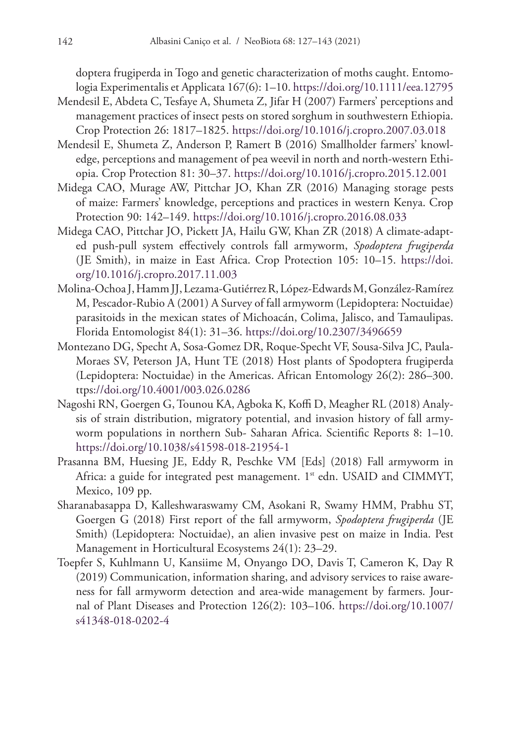doptera frugiperda in Togo and genetic characterization of moths caught. Entomologia Experimentalis et Applicata 167(6): 1–10.<https://doi.org/10.1111/eea.12795>

- Mendesil E, Abdeta C, Tesfaye A, Shumeta Z, Jifar H (2007) Farmers' perceptions and management practices of insect pests on stored sorghum in southwestern Ethiopia. Crop Protection 26: 1817–1825. <https://doi.org/10.1016/j.cropro.2007.03.018>
- Mendesil E, Shumeta Z, Anderson P, Ramert B (2016) Smallholder farmers' knowledge, perceptions and management of pea weevil in north and north-western Ethiopia. Crop Protection 81: 30–37.<https://doi.org/10.1016/j.cropro.2015.12.001>
- Midega CAO, Murage AW, Pittchar JO, Khan ZR (2016) Managing storage pests of maize: Farmers' knowledge, perceptions and practices in western Kenya. Crop Protection 90: 142–149. <https://doi.org/10.1016/j.cropro.2016.08.033>
- Midega CAO, Pittchar JO, Pickett JA, Hailu GW, Khan ZR (2018) A climate-adapted push-pull system effectively controls fall armyworm, *Spodoptera frugiperda* (JE Smith), in maize in East Africa. Crop Protection 105: 10–15. [https://doi.](https://doi.org/10.1016/j.cropro.2017.11.003) [org/10.1016/j.cropro.2017.11.003](https://doi.org/10.1016/j.cropro.2017.11.003)
- Molina-Ochoa J, Hamm JJ, Lezama-Gutiérrez R, López-Edwards M, González-Ramírez M, Pescador-Rubio A (2001) A Survey of fall armyworm (Lepidoptera: Noctuidae) parasitoids in the mexican states of Michoacán, Colima, Jalisco, and Tamaulipas. Florida Entomologist 84(1): 31–36. <https://doi.org/10.2307/3496659>
- Montezano DG, Specht A, Sosa-Gomez DR, Roque-Specht VF, Sousa-Silva JC, Paula-Moraes SV, Peterson JA, Hunt TE (2018) Host plants of Spodoptera frugiperda (Lepidoptera: Noctuidae) in the Americas. African Entomology 26(2): 286–300. ttps://doi.org/10.4001/003.026.0286
- Nagoshi RN, Goergen G, Tounou KA, Agboka K, Koffi D, Meagher RL (2018) Analysis of strain distribution, migratory potential, and invasion history of fall armyworm populations in northern Sub- Saharan Africa. Scientific Reports 8: 1–10. <https://doi.org/10.1038/s41598-018-21954-1>
- Prasanna BM, Huesing JE, Eddy R, Peschke VM [Eds] (2018) Fall armyworm in Africa: a guide for integrated pest management. 1<sup>st</sup> edn. USAID and CIMMYT, Mexico, 109 pp.
- Sharanabasappa D, Kalleshwaraswamy CM, Asokani R, Swamy HMM, Prabhu ST, Goergen G (2018) First report of the fall armyworm, *Spodoptera frugiperda* (JE Smith) (Lepidoptera: Noctuidae), an alien invasive pest on maize in India. Pest Management in Horticultural Ecosystems 24(1): 23–29.
- Toepfer S, Kuhlmann U, Kansiime M, Onyango DO, Davis T, Cameron K, Day R (2019) Communication, information sharing, and advisory services to raise awareness for fall armyworm detection and area-wide management by farmers. Journal of Plant Diseases and Protection 126(2): 103–106. [https://doi.org/10.1007/](https://doi.org/10.1007/s41348-018-0202-4) [s41348-018-0202-4](https://doi.org/10.1007/s41348-018-0202-4)